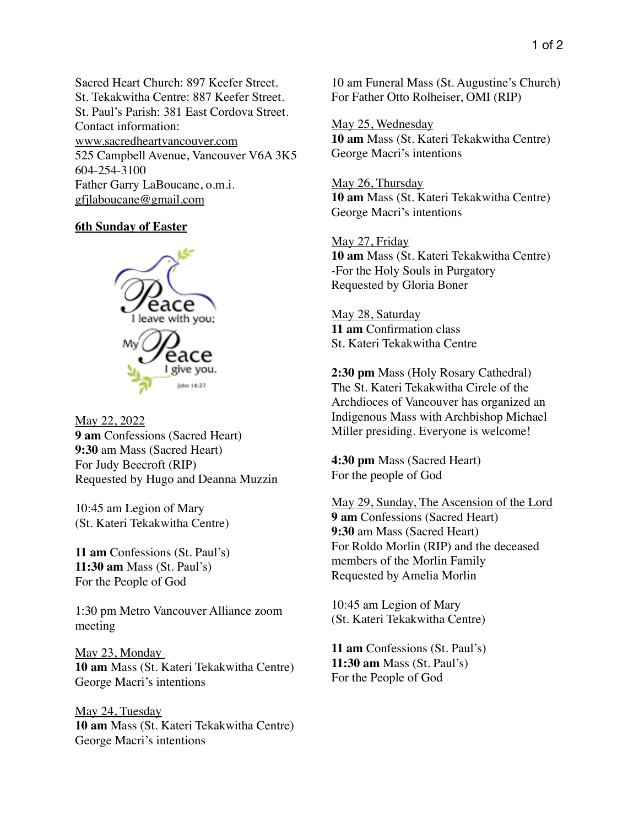Sacred Heart Church: 897 Keefer Street. St. Tekakwitha Centre: 887 Keefer Street. St. Paul's Parish: 381 East Cordova Street. Contact information: www.sacredheartvancouver.com 525 Campbell Avenue, Vancouver V6A 3K5 604-254-3100 Father Garry LaBoucane, o.m.i. [gfjlaboucane@gmail.com](mailto:gfjlaboucane@gmail.com)

## **6th Sunday of Easter**



May 22, 2022 **9 am** Confessions (Sacred Heart) **9:30** am Mass (Sacred Heart) For Judy Beecroft (RIP) Requested by Hugo and Deanna Muzzin

10:45 am Legion of Mary (St. Kateri Tekakwitha Centre)

**11 am** Confessions (St. Paul's) **11:30 am** Mass (St. Paul's) For the People of God

1:30 pm Metro Vancouver Alliance zoom meeting

May 23, Monday **10 am** Mass (St. Kateri Tekakwitha Centre) George Macri's intentions

May 24, Tuesday **10 am** Mass (St. Kateri Tekakwitha Centre) George Macri's intentions

10 am Funeral Mass (St. Augustine's Church) For Father Otto Rolheiser, OMI (RIP)

May 25, Wednesday **10 am** Mass (St. Kateri Tekakwitha Centre) George Macri's intentions

May 26, Thursday **10 am** Mass (St. Kateri Tekakwitha Centre) George Macri's intentions

May 27, Friday **10 am** Mass (St. Kateri Tekakwitha Centre) -For the Holy Souls in Purgatory Requested by Gloria Boner

May 28, Saturday **11 am** Confirmation class St. Kateri Tekakwitha Centre

**2:30 pm** Mass (Holy Rosary Cathedral) The St. Kateri Tekakwitha Circle of the Archdioces of Vancouver has organized an Indigenous Mass with Archbishop Michael Miller presiding. Everyone is welcome!

**4:30 pm** Mass (Sacred Heart) For the people of God

May 29, Sunday, The Ascension of the Lord **9 am** Confessions (Sacred Heart) **9:30** am Mass (Sacred Heart) For Roldo Morlin (RIP) and the deceased members of the Morlin Family Requested by Amelia Morlin

10:45 am Legion of Mary (St. Kateri Tekakwitha Centre)

**11 am** Confessions (St. Paul's) **11:30 am** Mass (St. Paul's) For the People of God